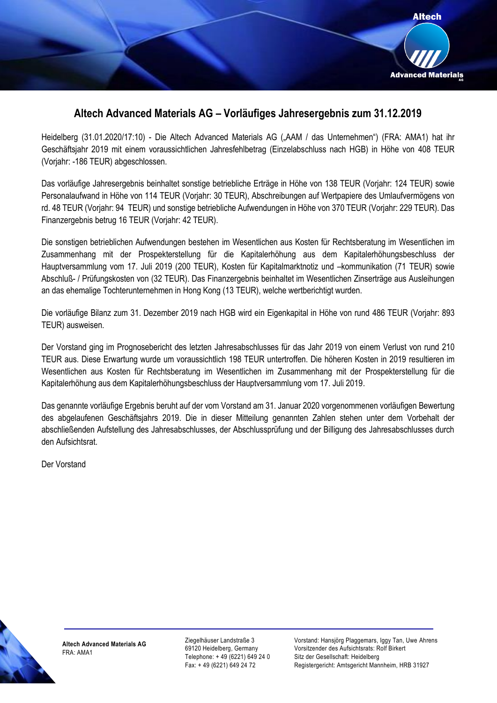

## **Altech Advanced Materials AG – Vorläufiges Jahresergebnis zum 31.12.2019**

Heidelberg (31.01.2020/17:10) - Die Altech Advanced Materials AG ("AAM / das Unternehmen") (FRA: AMA1) hat ihr Geschäftsjahr 2019 mit einem voraussichtlichen Jahresfehlbetrag (Einzelabschluss nach HGB) in Höhe von 408 TEUR (Vorjahr: -186 TEUR) abgeschlossen.

Das vorläufige Jahresergebnis beinhaltet sonstige betriebliche Erträge in Höhe von 138 TEUR (Vorjahr: 124 TEUR) sowie Personalaufwand in Höhe von 114 TEUR (Vorjahr: 30 TEUR), Abschreibungen auf Wertpapiere des Umlaufvermögens von rd. 48 TEUR (Vorjahr: 94 TEUR) und sonstige betriebliche Aufwendungen in Höhe von 370 TEUR (Vorjahr: 229 TEUR). Das Finanzergebnis betrug 16 TEUR (Vorjahr: 42 TEUR).

Die sonstigen betrieblichen Aufwendungen bestehen im Wesentlichen aus Kosten für Rechtsberatung im Wesentlichen im Zusammenhang mit der Prospekterstellung für die Kapitalerhöhung aus dem Kapitalerhöhungsbeschluss der Hauptversammlung vom 17. Juli 2019 (200 TEUR), Kosten für Kapitalmarktnotiz und –kommunikation (71 TEUR) sowie Abschluß- / Prüfungskosten von (32 TEUR). Das Finanzergebnis beinhaltet im Wesentlichen Zinserträge aus Ausleihungen an das ehemalige Tochterunternehmen in Hong Kong (13 TEUR), welche wertberichtigt wurden.

Die vorläufige Bilanz zum 31. Dezember 2019 nach HGB wird ein Eigenkapital in Höhe von rund 486 TEUR (Vorjahr: 893 TEUR) ausweisen.

Der Vorstand ging im Prognosebericht des letzten Jahresabschlusses für das Jahr 2019 von einem Verlust von rund 210 TEUR aus. Diese Erwartung wurde um voraussichtlich 198 TEUR untertroffen. Die höheren Kosten in 2019 resultieren im Wesentlichen aus Kosten für Rechtsberatung im Wesentlichen im Zusammenhang mit der Prospekterstellung für die Kapitalerhöhung aus dem Kapitalerhöhungsbeschluss der Hauptversammlung vom 17. Juli 2019.

Das genannte vorläufige Ergebnis beruht auf der vom Vorstand am 31. Januar 2020 vorgenommenen vorläufigen Bewertung des abgelaufenen Geschäftsjahrs 2019. Die in dieser Mitteilung genannten Zahlen stehen unter dem Vorbehalt der abschließenden Aufstellung des Jahresabschlusses, der Abschlussprüfung und der Billigung des Jahresabschlusses durch den Aufsichtsrat.

Der Vorstand



**Altech Advanced Materials AG** FRA: AMA1

Ziegelhäuser Landstraße 3 69120 Heidelberg, Germany Telephone: + 49 (6221) 649 24 0 Fax: + 49 (6221) 649 24 72

Vorstand: Hansjörg Plaggemars, Iggy Tan, Uwe Ahrens Vorsitzender des Aufsichtsrats: Rolf Birkert Sitz der Gesellschaft: Heidelberg Registergericht: Amtsgericht Mannheim, HRB 31927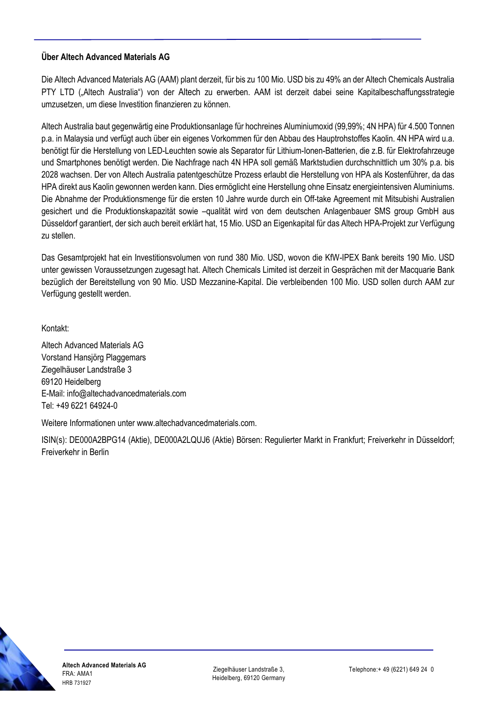## **Über Altech Advanced Materials AG**

Die Altech Advanced Materials AG (AAM) plant derzeit, für bis zu 100 Mio. USD bis zu 49% an der Altech Chemicals Australia PTY LTD ("Altech Australia") von der Altech zu erwerben. AAM ist derzeit dabei seine Kapitalbeschaffungsstrategie umzusetzen, um diese Investition finanzieren zu können.

Altech Australia baut gegenwärtig eine Produktionsanlage für hochreines Aluminiumoxid (99,99%; 4N HPA) für 4.500 Tonnen p.a. in Malaysia und verfügt auch über ein eigenes Vorkommen für den Abbau des Hauptrohstoffes Kaolin. 4N HPA wird u.a. benötigt für die Herstellung von LED-Leuchten sowie als Separator für Lithium-Ionen-Batterien, die z.B. für Elektrofahrzeuge und Smartphones benötigt werden. Die Nachfrage nach 4N HPA soll gemäß Marktstudien durchschnittlich um 30% p.a. bis 2028 wachsen. Der von Altech Australia patentgeschütze Prozess erlaubt die Herstellung von HPA als Kostenführer, da das HPA direkt aus Kaolin gewonnen werden kann. Dies ermöglicht eine Herstellung ohne Einsatz energieintensiven Aluminiums. Die Abnahme der Produktionsmenge für die ersten 10 Jahre wurde durch ein Off-take Agreement mit Mitsubishi Australien gesichert und die Produktionskapazität sowie –qualität wird von dem deutschen Anlagenbauer SMS group GmbH aus Düsseldorf garantiert, der sich auch bereit erklärt hat, 15 Mio. USD an Eigenkapital für das Altech HPA-Projekt zur Verfügung zu stellen.

Das Gesamtprojekt hat ein Investitionsvolumen von rund 380 Mio. USD, wovon die KfW-IPEX Bank bereits 190 Mio. USD unter gewissen Voraussetzungen zugesagt hat. Altech Chemicals Limited ist derzeit in Gesprächen mit der Macquarie Bank bezüglich der Bereitstellung von 90 Mio. USD Mezzanine-Kapital. Die verbleibenden 100 Mio. USD sollen durch AAM zur Verfügung gestellt werden.

Kontakt:

Altech Advanced Materials AG Vorstand Hansjörg Plaggemars Ziegelhäuser Landstraße 3 69120 Heidelberg E-Mail: info@altechadvancedmaterials.com Tel: +49 6221 64924-0

Weitere Informationen unter www.altechadvancedmaterials.com.

ISIN(s): DE000A2BPG14 (Aktie), DE000A2LQUJ6 (Aktie) Börsen: Regulierter Markt in Frankfurt; Freiverkehr in Düsseldorf; Freiverkehr in Berlin

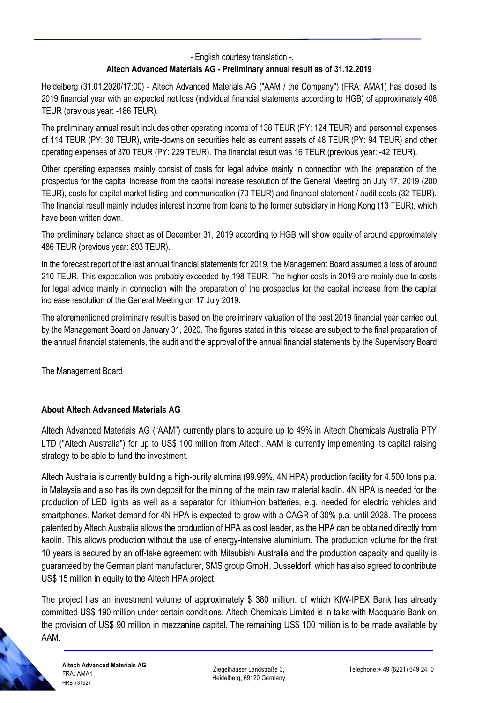- English courtesy translation -.

## **Altech Advanced Materials AG - Preliminary annual result as of 31.12.2019**

Heidelberg (31.01.2020/17:00) - Altech Advanced Materials AG ("AAM / the Company") (FRA: AMA1) has closed its 2019 financial year with an expected net loss (individual financial statements according to HGB) of approximately 408 TEUR (previous year: -186 TEUR).

The preliminary annual result includes other operating income of 138 TEUR (PY: 124 TEUR) and personnel expenses of 114 TEUR (PY: 30 TEUR), write-downs on securities held as current assets of 48 TEUR (PY: 94 TEUR) and other operating expenses of 370 TEUR (PY: 229 TEUR). The financial result was 16 TEUR (previous year: -42 TEUR).

Other operating expenses mainly consist of costs for legal advice mainly in connection with the preparation of the prospectus for the capital increase from the capital increase resolution of the General Meeting on July 17, 2019 (200 TEUR), costs for capital market listing and communication (70 TEUR) and financial statement / audit costs (32 TEUR). The financial result mainly includes interest income from loans to the former subsidiary in Hong Kong (13 TEUR), which have been written down.

The preliminary balance sheet as of December 31, 2019 according to HGB will show equity of around approximately 486 TEUR (previous year: 893 TEUR).

In the forecast report of the last annual financial statements for 2019, the Management Board assumed a loss of around 210 TEUR. This expectation was probably exceeded by 198 TEUR. The higher costs in 2019 are mainly due to costs for legal advice mainly in connection with the preparation of the prospectus for the capital increase from the capital increase resolution of the General Meeting on 17 July 2019.

The aforementioned preliminary result is based on the preliminary valuation of the past 2019 financial year carried out by the Management Board on January 31, 2020. The figures stated in this release are subject to the final preparation of the annual financial statements, the audit and the approval of the annual financial statements by the Supervisory Board

The Management Board

## **About Altech Advanced Materials AG**

Altech Advanced Materials AG ("AAM") currently plans to acquire up to 49% in Altech Chemicals Australia PTY LTD ("Altech Australia") for up to US\$ 100 million from Altech. AAM is currently implementing its capital raising strategy to be able to fund the investment.

Altech Australia is currently building a high-purity alumina (99.99%, 4N HPA) production facility for 4,500 tons p.a. in Malaysia and also has its own deposit for the mining of the main raw material kaolin. 4N HPA is needed for the production of LED lights as well as a separator for lithium-ion batteries, e.g. needed for electric vehicles and smartphones. Market demand for 4N HPA is expected to grow with a CAGR of 30% p.a. until 2028. The process patented by Altech Australia allows the production of HPA as cost leader, as the HPA can be obtained directly from kaolin. This allows production without the use of energy-intensive aluminium. The production volume for the first 10 years is secured by an off-take agreement with Mitsubishi Australia and the production capacity and quality is guaranteed by the German plant manufacturer, SMS group GmbH, Dusseldorf, which has also agreed to contribute US\$ 15 million in equity to the Altech HPA project.

The project has an investment volume of approximately \$ 380 million, of which KfW-IPEX Bank has already committed US\$ 190 million under certain conditions. Altech Chemicals Limited is in talks with Macquarie Bank on the provision of US\$ 90 million in mezzanine capital. The remaining US\$ 100 million is to be made available by AAM.